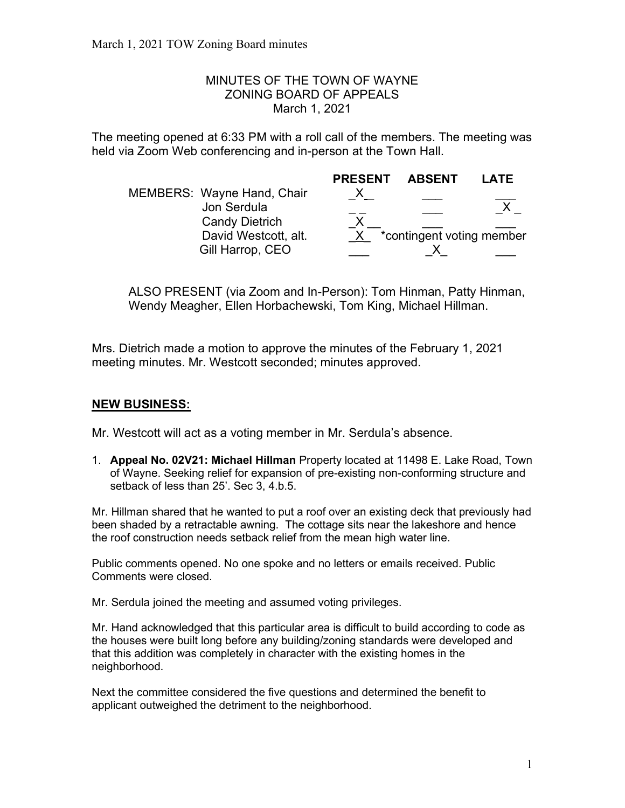## MINUTES OF THE TOWN OF WAYNE ZONING BOARD OF APPEALS March 1, 2021

The meeting opened at 6:33 PM with a roll call of the members. The meeting was held via Zoom Web conferencing and in-person at the Town Hall.

|  |                                           | <b>PRESENT</b> | <b>ABSENT</b>             | LATE |
|--|-------------------------------------------|----------------|---------------------------|------|
|  | MEMBERS: Wayne Hand, Chair<br>Jon Serdula |                |                           |      |
|  | <b>Candy Dietrich</b>                     |                |                           |      |
|  | David Westcott, alt.                      |                | *contingent voting member |      |
|  | Gill Harrop, CEO                          |                |                           |      |

ALSO PRESENT (via Zoom and In-Person): Tom Hinman, Patty Hinman, Wendy Meagher, Ellen Horbachewski, Tom King, Michael Hillman.

Mrs. Dietrich made a motion to approve the minutes of the February 1, 2021 meeting minutes. Mr. Westcott seconded; minutes approved.

## NEW BUSINESS:

Mr. Westcott will act as a voting member in Mr. Serdula's absence.

1. Appeal No. 02V21: Michael Hillman Property located at 11498 E. Lake Road, Town of Wayne. Seeking relief for expansion of pre-existing non-conforming structure and setback of less than 25'. Sec 3, 4.b.5.

Mr. Hillman shared that he wanted to put a roof over an existing deck that previously had been shaded by a retractable awning. The cottage sits near the lakeshore and hence the roof construction needs setback relief from the mean high water line.

Public comments opened. No one spoke and no letters or emails received. Public Comments were closed.

Mr. Serdula joined the meeting and assumed voting privileges.

Mr. Hand acknowledged that this particular area is difficult to build according to code as the houses were built long before any building/zoning standards were developed and that this addition was completely in character with the existing homes in the neighborhood.

Next the committee considered the five questions and determined the benefit to applicant outweighed the detriment to the neighborhood.